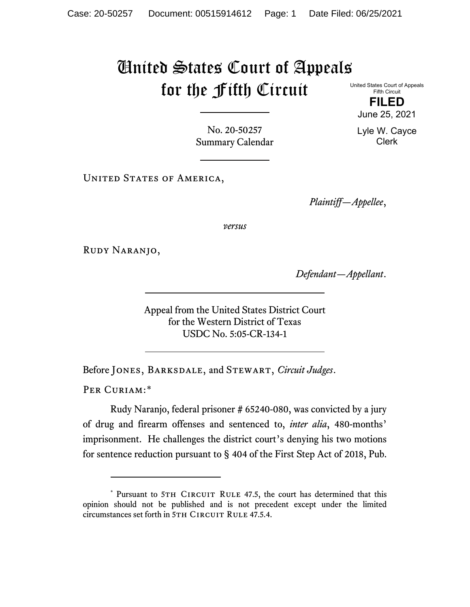## United States Court of Appeals for the Fifth Circuit

United States Court of Appeals Fifth Circuit

**FILED** June 25, 2021

Lyle W. Cayce Clerk

No. 20-50257 Summary Calendar

UNITED STATES OF AMERICA,

*Plaintiff—Appellee*,

*versus*

Rudy Naranjo,

*Defendant—Appellant*.

Appeal from the United States District Court for the Western District of Texas USDC No. 5:05-CR-134-1

Before Jones, Barksdale, and Stewart, *Circuit Judges*.

PER CURIAM:[\\*](#page-0-0)

Rudy Naranjo, federal prisoner # 65240-080, was convicted by a jury of drug and firearm offenses and sentenced to, *inter alia*, 480-months' imprisonment. He challenges the district court's denying his two motions for sentence reduction pursuant to § 404 of the First Step Act of 2018, Pub.

<span id="page-0-0"></span><sup>\*</sup> Pursuant to 5TH CIRCUIT RULE 47.5, the court has determined that this opinion should not be published and is not precedent except under the limited circumstances set forth in 5TH CIRCUIT RULE 47.5.4.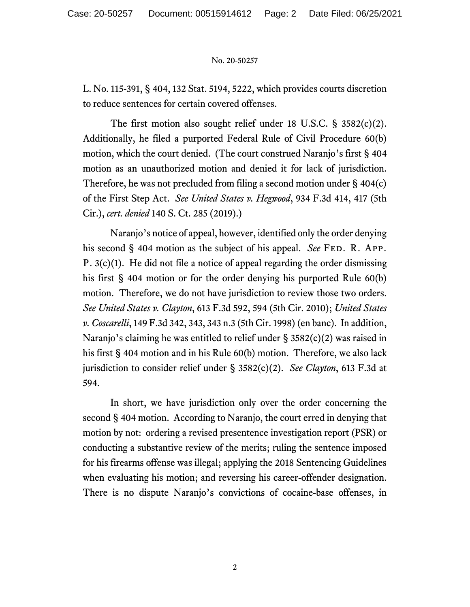## No. 20-50257

L. No. 115-391, § 404, 132 Stat. 5194, 5222, which provides courts discretion to reduce sentences for certain covered offenses.

The first motion also sought relief under 18 U.S.C. § 3582(c)(2). Additionally, he filed a purported Federal Rule of Civil Procedure 60(b) motion, which the court denied. (The court construed Naranjo's first § 404 motion as an unauthorized motion and denied it for lack of jurisdiction. Therefore, he was not precluded from filing a second motion under § 404(c) of the First Step Act. *See United States v. Hegwood*, 934 F.3d 414, 417 (5th Cir.), *cert. denied* 140 S. Ct. 285 (2019).)

Naranjo's notice of appeal, however, identified only the order denying his second § 404 motion as the subject of his appeal. *See* FED. R. APP. P. 3(c)(1). He did not file a notice of appeal regarding the order dismissing his first § 404 motion or for the order denying his purported Rule 60(b) motion. Therefore, we do not have jurisdiction to review those two orders. *See United States v. Clayton*, 613 F.3d 592, 594 (5th Cir. 2010); *United States v. Coscarelli*, 149 F.3d 342, 343, 343 n.3 (5th Cir. 1998) (en banc). In addition, Naranjo's claiming he was entitled to relief under § 3582(c)(2) was raised in his first § 404 motion and in his Rule 60(b) motion. Therefore, we also lack jurisdiction to consider relief under § 3582(c)(2). *See Clayton*, 613 F.3d at 594.

In short, we have jurisdiction only over the order concerning the second § 404 motion. According to Naranjo, the court erred in denying that motion by not: ordering a revised presentence investigation report (PSR) or conducting a substantive review of the merits; ruling the sentence imposed for his firearms offense was illegal; applying the 2018 Sentencing Guidelines when evaluating his motion; and reversing his career-offender designation. There is no dispute Naranjo's convictions of cocaine-base offenses, in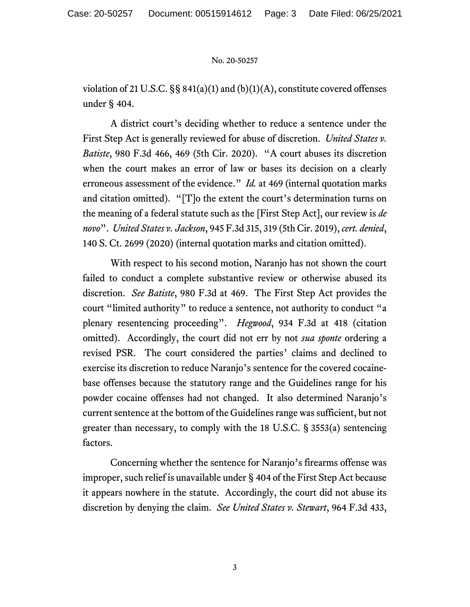## No. 20-50257

violation of 21 U.S.C. §§ 841(a)(1) and (b)(1)(A), constitute covered offenses under § 404.

A district court's deciding whether to reduce a sentence under the First Step Act is generally reviewed for abuse of discretion. *United States v. Batiste*, 980 F.3d 466, 469 (5th Cir. 2020). "A court abuses its discretion when the court makes an error of law or bases its decision on a clearly erroneous assessment of the evidence." *Id.* at 469 (internal quotation marks and citation omitted). "[T]o the extent the court's determination turns on the meaning of a federal statute such as the [First Step Act], our review is *de novo*". *United States v. Jackson*, 945 F.3d 315, 319 (5th Cir. 2019), *cert. denied*, 140 S. Ct. 2699 (2020) (internal quotation marks and citation omitted).

With respect to his second motion, Naranjo has not shown the court failed to conduct a complete substantive review or otherwise abused its discretion. *See Batiste*, 980 F.3d at 469. The First Step Act provides the court "limited authority" to reduce a sentence, not authority to conduct "a plenary resentencing proceeding". *Hegwood*, 934 F.3d at 418 (citation omitted). Accordingly, the court did not err by not *sua sponte* ordering a revised PSR. The court considered the parties' claims and declined to exercise its discretion to reduce Naranjo's sentence for the covered cocainebase offenses because the statutory range and the Guidelines range for his powder cocaine offenses had not changed. It also determined Naranjo's current sentence at the bottom of the Guidelines range was sufficient, but not greater than necessary, to comply with the 18 U.S.C. § 3553(a) sentencing factors.

Concerning whether the sentence for Naranjo's firearms offense was improper, such relief is unavailable under § 404 of the First Step Act because it appears nowhere in the statute. Accordingly, the court did not abuse its discretion by denying the claim. *See United States v. Stewart*, 964 F.3d 433,